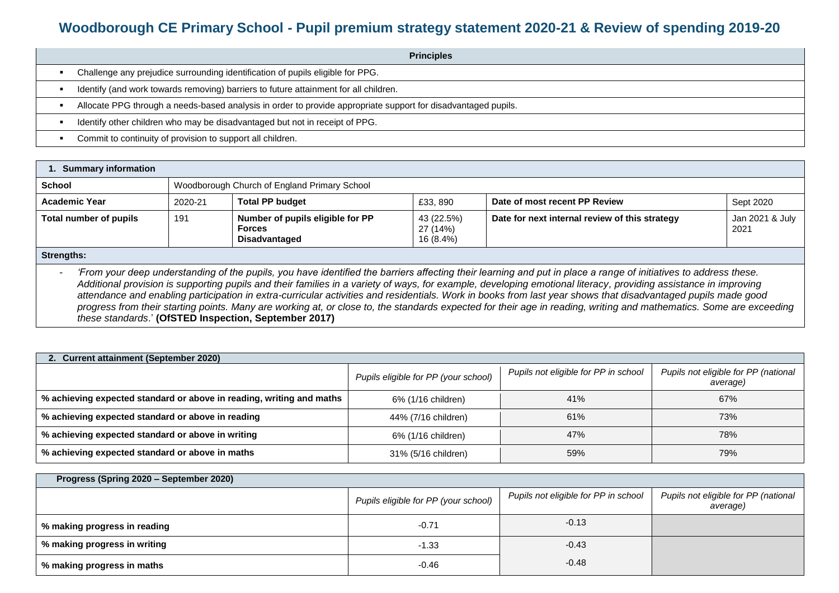## **Woodborough CE Primary School - Pupil premium strategy statement 2020-21 & Review of spending 2019-20**

| <b>Principles</b>                                                                                             |
|---------------------------------------------------------------------------------------------------------------|
| Challenge any prejudice surrounding identification of pupils eligible for PPG.                                |
| Identify (and work towards removing) barriers to future attainment for all children.                          |
| Allocate PPG through a needs-based analysis in order to provide appropriate support for disadvantaged pupils. |
| Identify other children who may be disadvantaged but not in receipt of PPG.                                   |
| Commit to continuity of provision to support all children.                                                    |

| <b>Summary information</b>                                                                                                                                      |         |                                                                           |                                     |                                                |                           |
|-----------------------------------------------------------------------------------------------------------------------------------------------------------------|---------|---------------------------------------------------------------------------|-------------------------------------|------------------------------------------------|---------------------------|
| School                                                                                                                                                          |         | Woodborough Church of England Primary School                              |                                     |                                                |                           |
| <b>Academic Year</b>                                                                                                                                            | 2020-21 | <b>Total PP budget</b>                                                    | £33, 890                            | Date of most recent PP Review                  | Sept 2020                 |
| Total number of pupils                                                                                                                                          | 191     | Number of pupils eligible for PP<br><b>Forces</b><br><b>Disadvantaged</b> | 43 (22.5%)<br>27 (14%)<br>16 (8.4%) | Date for next internal review of this strategy | Jan 2021 & July  <br>2021 |
| Strengths:                                                                                                                                                      |         |                                                                           |                                     |                                                |                           |
| 'From your deep understanding of the pupils, you have identified the barriers affecting their learning and put in place a range of initiatives to address these |         |                                                                           |                                     |                                                |                           |

our deep understanding of the pupils, you have identified the barriers affecting their learning and put in place a range of initiatives to address these. *Additional provision is supporting pupils and their families in a variety of ways, for example, developing emotional literacy, providing assistance in improving attendance and enabling participation in extra-curricular activities and residentials. Work in books from last year shows that disadvantaged pupils made good progress from their starting points. Many are working at, or close to, the standards expected for their age in reading, writing and mathematics. Some are exceeding these standards*.' **(OfSTED Inspection, September 2017)**

| 2. Current attainment (September 2020)                               |                                      |                                      |                                                  |  |  |  |  |
|----------------------------------------------------------------------|--------------------------------------|--------------------------------------|--------------------------------------------------|--|--|--|--|
|                                                                      | Pupils eligible for PP (your school) | Pupils not eligible for PP in school | Pupils not eligible for PP (national<br>average) |  |  |  |  |
| % achieving expected standard or above in reading, writing and maths | 6% (1/16 children)                   | 41%                                  | 67%                                              |  |  |  |  |
| % achieving expected standard or above in reading                    | 44% (7/16 children)                  | 61%                                  | 73%                                              |  |  |  |  |
| % achieving expected standard or above in writing                    | 6% (1/16 children)                   | 47%                                  | 78%                                              |  |  |  |  |
| % achieving expected standard or above in maths                      | 31% (5/16 children)                  | 59%                                  | 79%                                              |  |  |  |  |

| Progress (Spring 2020 - September 2020) |                                      |                                      |                                                  |  |  |  |
|-----------------------------------------|--------------------------------------|--------------------------------------|--------------------------------------------------|--|--|--|
|                                         | Pupils eligible for PP (your school) | Pupils not eligible for PP in school | Pupils not eligible for PP (national<br>average) |  |  |  |
| % making progress in reading            | $-0.71$                              | $-0.13$                              |                                                  |  |  |  |
| % making progress in writing            | $-1.33$                              | $-0.43$                              |                                                  |  |  |  |
| % making progress in maths              | $-0.46$                              | $-0.48$                              |                                                  |  |  |  |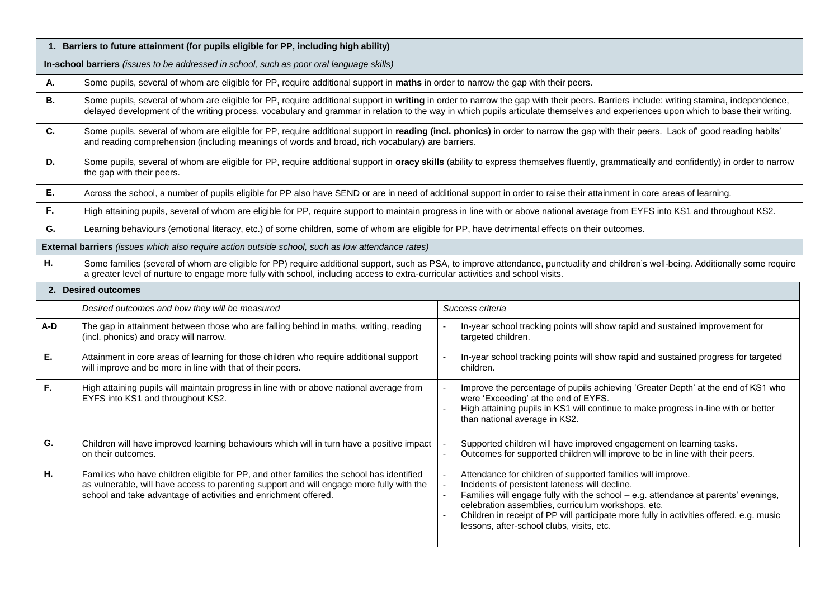|           | 1. Barriers to future attainment (for pupils eligible for PP, including high ability)                                                                                                                                                                                                                                   |                                                                                                                                                                                                                                                                                                                                                                                                   |  |  |  |  |
|-----------|-------------------------------------------------------------------------------------------------------------------------------------------------------------------------------------------------------------------------------------------------------------------------------------------------------------------------|---------------------------------------------------------------------------------------------------------------------------------------------------------------------------------------------------------------------------------------------------------------------------------------------------------------------------------------------------------------------------------------------------|--|--|--|--|
|           | In-school barriers (issues to be addressed in school, such as poor oral language skills)                                                                                                                                                                                                                                |                                                                                                                                                                                                                                                                                                                                                                                                   |  |  |  |  |
| А.        | Some pupils, several of whom are eligible for PP, require additional support in maths in order to narrow the gap with their peers.                                                                                                                                                                                      |                                                                                                                                                                                                                                                                                                                                                                                                   |  |  |  |  |
| <b>B.</b> |                                                                                                                                                                                                                                                                                                                         | Some pupils, several of whom are eligible for PP, require additional support in writing in order to narrow the gap with their peers. Barriers include: writing stamina, independence,<br>delayed development of the writing process, vocabulary and grammar in relation to the way in which pupils articulate themselves and experiences upon which to base their writing.                        |  |  |  |  |
| C.        | Some pupils, several of whom are eligible for PP, require additional support in reading (incl. phonics) in order to narrow the gap with their peers. Lack of good reading habits'<br>and reading comprehension (including meanings of words and broad, rich vocabulary) are barriers.                                   |                                                                                                                                                                                                                                                                                                                                                                                                   |  |  |  |  |
| D.        | Some pupils, several of whom are eligible for PP, require additional support in oracy skills (ability to express themselves fluently, grammatically and confidently) in order to narrow<br>the gap with their peers.                                                                                                    |                                                                                                                                                                                                                                                                                                                                                                                                   |  |  |  |  |
| Ε.        | Across the school, a number of pupils eligible for PP also have SEND or are in need of additional support in order to raise their attainment in core areas of learning.                                                                                                                                                 |                                                                                                                                                                                                                                                                                                                                                                                                   |  |  |  |  |
| F.        | High attaining pupils, several of whom are eligible for PP, require support to maintain progress in line with or above national average from EYFS into KS1 and throughout KS2.                                                                                                                                          |                                                                                                                                                                                                                                                                                                                                                                                                   |  |  |  |  |
| G.        | Learning behaviours (emotional literacy, etc.) of some children, some of whom are eligible for PP, have detrimental effects on their outcomes.                                                                                                                                                                          |                                                                                                                                                                                                                                                                                                                                                                                                   |  |  |  |  |
|           | External barriers (issues which also require action outside school, such as low attendance rates)                                                                                                                                                                                                                       |                                                                                                                                                                                                                                                                                                                                                                                                   |  |  |  |  |
| Н.        | Some families (several of whom are eligible for PP) require additional support, such as PSA, to improve attendance, punctuality and children's well-being. Additionally some require<br>a greater level of nurture to engage more fully with school, including access to extra-curricular activities and school visits. |                                                                                                                                                                                                                                                                                                                                                                                                   |  |  |  |  |
|           | 2. Desired outcomes                                                                                                                                                                                                                                                                                                     |                                                                                                                                                                                                                                                                                                                                                                                                   |  |  |  |  |
|           | Desired outcomes and how they will be measured                                                                                                                                                                                                                                                                          | Success criteria                                                                                                                                                                                                                                                                                                                                                                                  |  |  |  |  |
| A-D       | The gap in attainment between those who are falling behind in maths, writing, reading<br>(incl. phonics) and oracy will narrow.                                                                                                                                                                                         | In-year school tracking points will show rapid and sustained improvement for<br>targeted children.                                                                                                                                                                                                                                                                                                |  |  |  |  |
| Е.        | Attainment in core areas of learning for those children who require additional support<br>will improve and be more in line with that of their peers.                                                                                                                                                                    | In-year school tracking points will show rapid and sustained progress for targeted<br>children.                                                                                                                                                                                                                                                                                                   |  |  |  |  |
| F.        | High attaining pupils will maintain progress in line with or above national average from<br>EYFS into KS1 and throughout KS2.                                                                                                                                                                                           | Improve the percentage of pupils achieving 'Greater Depth' at the end of KS1 who<br>were 'Exceeding' at the end of EYFS.<br>High attaining pupils in KS1 will continue to make progress in-line with or better<br>than national average in KS2.                                                                                                                                                   |  |  |  |  |
| G.        | Children will have improved learning behaviours which will in turn have a positive impact<br>on their outcomes.                                                                                                                                                                                                         | Supported children will have improved engagement on learning tasks.<br>Outcomes for supported children will improve to be in line with their peers.                                                                                                                                                                                                                                               |  |  |  |  |
| Η.        | Families who have children eligible for PP, and other families the school has identified<br>as vulnerable, will have access to parenting support and will engage more fully with the<br>school and take advantage of activities and enrichment offered.                                                                 | Attendance for children of supported families will improve.<br>Incidents of persistent lateness will decline.<br>Families will engage fully with the school - e.g. attendance at parents' evenings,<br>celebration assemblies, curriculum workshops, etc.<br>Children in receipt of PP will participate more fully in activities offered, e.g. music<br>lessons, after-school clubs, visits, etc. |  |  |  |  |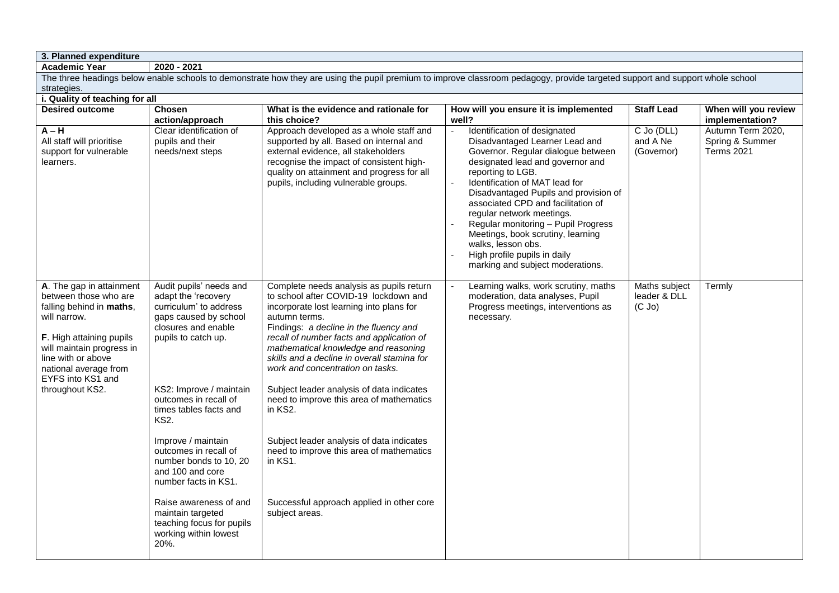**3. Planned expenditure**

**Academic Year 2020 - 2021**

The three headings below enable schools to demonstrate how they are using the pupil premium to improve classroom pedagogy, provide targeted support and support whole school strategies. **i. Quality of teaching for all**

| <b>Desired outcome</b>                                                                                                                                                                                                                        | <b>Chosen</b><br>action/approach                                                                                                                                           | What is the evidence and rationale for<br>this choice?                                                                                                                                                                                                                                                                                                                                                        | How will you ensure it is implemented<br>well?                                                                                                                                                                                                                                                                                                                                                                                                                                    | <b>Staff Lead</b>                            | When will you review<br>implementation?                   |
|-----------------------------------------------------------------------------------------------------------------------------------------------------------------------------------------------------------------------------------------------|----------------------------------------------------------------------------------------------------------------------------------------------------------------------------|---------------------------------------------------------------------------------------------------------------------------------------------------------------------------------------------------------------------------------------------------------------------------------------------------------------------------------------------------------------------------------------------------------------|-----------------------------------------------------------------------------------------------------------------------------------------------------------------------------------------------------------------------------------------------------------------------------------------------------------------------------------------------------------------------------------------------------------------------------------------------------------------------------------|----------------------------------------------|-----------------------------------------------------------|
| $A - H$<br>All staff will prioritise<br>support for vulnerable<br>learners.                                                                                                                                                                   | Clear identification of<br>pupils and their<br>needs/next steps                                                                                                            | Approach developed as a whole staff and<br>supported by all. Based on internal and<br>external evidence, all stakeholders<br>recognise the impact of consistent high-<br>quality on attainment and progress for all<br>pupils, including vulnerable groups.                                                                                                                                                   | Identification of designated<br>Disadvantaged Learner Lead and<br>Governor. Regular dialogue between<br>designated lead and governor and<br>reporting to LGB.<br>Identification of MAT lead for<br>Disadvantaged Pupils and provision of<br>associated CPD and facilitation of<br>regular network meetings.<br>Regular monitoring - Pupil Progress<br>Meetings, book scrutiny, learning<br>walks, lesson obs.<br>High profile pupils in daily<br>marking and subject moderations. | C Jo (DLL)<br>and A Ne<br>(Governor)         | Autumn Term 2020,<br>Spring & Summer<br><b>Terms 2021</b> |
| A. The gap in attainment<br>between those who are<br>falling behind in maths,<br>will narrow.<br>F. High attaining pupils<br>will maintain progress in<br>line with or above<br>national average from<br>EYFS into KS1 and<br>throughout KS2. | Audit pupils' needs and<br>adapt the 'recovery<br>curriculum' to address<br>gaps caused by school<br>closures and enable<br>pupils to catch up.<br>KS2: Improve / maintain | Complete needs analysis as pupils return<br>to school after COVID-19 lockdown and<br>incorporate lost learning into plans for<br>autumn terms.<br>Findings: a decline in the fluency and<br>recall of number facts and application of<br>mathematical knowledge and reasoning<br>skills and a decline in overall stamina for<br>work and concentration on tasks.<br>Subject leader analysis of data indicates | Learning walks, work scrutiny, maths<br>moderation, data analyses, Pupil<br>Progress meetings, interventions as<br>necessary.                                                                                                                                                                                                                                                                                                                                                     | Maths subject<br>leader & DLL<br>$(C$ Jo $)$ | Termly                                                    |
|                                                                                                                                                                                                                                               | outcomes in recall of<br>times tables facts and<br>KS <sub>2</sub> .                                                                                                       | need to improve this area of mathematics<br>in KS2.                                                                                                                                                                                                                                                                                                                                                           |                                                                                                                                                                                                                                                                                                                                                                                                                                                                                   |                                              |                                                           |
|                                                                                                                                                                                                                                               | Improve / maintain<br>outcomes in recall of<br>number bonds to 10, 20<br>and 100 and core<br>number facts in KS1.                                                          | Subject leader analysis of data indicates<br>need to improve this area of mathematics<br>in KS1.                                                                                                                                                                                                                                                                                                              |                                                                                                                                                                                                                                                                                                                                                                                                                                                                                   |                                              |                                                           |
|                                                                                                                                                                                                                                               | Raise awareness of and<br>maintain targeted<br>teaching focus for pupils<br>working within lowest<br>20%.                                                                  | Successful approach applied in other core<br>subject areas.                                                                                                                                                                                                                                                                                                                                                   |                                                                                                                                                                                                                                                                                                                                                                                                                                                                                   |                                              |                                                           |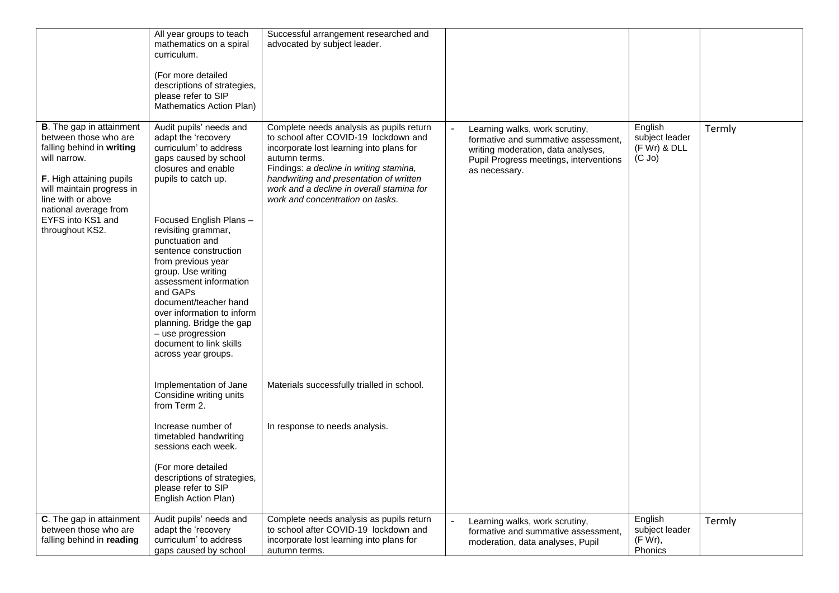|                                                                                                                                                                                                                                                        | All year groups to teach<br>mathematics on a spiral<br>curriculum.<br>(For more detailed<br>descriptions of strategies,<br>please refer to SIP<br>Mathematics Action Plan)                                                                                                                                                                                                                                                                                                               | Successful arrangement researched and<br>advocated by subject leader.                                                                                                                                                                                                                                                 |                                                                                                                                                                        |                                                          |        |
|--------------------------------------------------------------------------------------------------------------------------------------------------------------------------------------------------------------------------------------------------------|------------------------------------------------------------------------------------------------------------------------------------------------------------------------------------------------------------------------------------------------------------------------------------------------------------------------------------------------------------------------------------------------------------------------------------------------------------------------------------------|-----------------------------------------------------------------------------------------------------------------------------------------------------------------------------------------------------------------------------------------------------------------------------------------------------------------------|------------------------------------------------------------------------------------------------------------------------------------------------------------------------|----------------------------------------------------------|--------|
| <b>B</b> . The gap in attainment<br>between those who are<br>falling behind in writing<br>will narrow.<br>F. High attaining pupils<br>will maintain progress in<br>line with or above<br>national average from<br>EYFS into KS1 and<br>throughout KS2. | Audit pupils' needs and<br>adapt the 'recovery<br>curriculum' to address<br>gaps caused by school<br>closures and enable<br>pupils to catch up.<br>Focused English Plans-<br>revisiting grammar,<br>punctuation and<br>sentence construction<br>from previous year<br>group. Use writing<br>assessment information<br>and GAPs<br>document/teacher hand<br>over information to inform<br>planning. Bridge the gap<br>- use progression<br>document to link skills<br>across year groups. | Complete needs analysis as pupils return<br>to school after COVID-19 lockdown and<br>incorporate lost learning into plans for<br>autumn terms.<br>Findings: a decline in writing stamina,<br>handwriting and presentation of written<br>work and a decline in overall stamina for<br>work and concentration on tasks. | Learning walks, work scrutiny,<br>formative and summative assessment,<br>writing moderation, data analyses,<br>Pupil Progress meetings, interventions<br>as necessary. | English<br>subject leader<br>(F Wr) & DLL<br>$(C$ Jo $)$ | Termly |
|                                                                                                                                                                                                                                                        | Implementation of Jane<br>Considine writing units<br>from Term 2.<br>Increase number of                                                                                                                                                                                                                                                                                                                                                                                                  | Materials successfully trialled in school.<br>In response to needs analysis.                                                                                                                                                                                                                                          |                                                                                                                                                                        |                                                          |        |
|                                                                                                                                                                                                                                                        | timetabled handwriting<br>sessions each week.<br>(For more detailed<br>descriptions of strategies,<br>please refer to SIP<br>English Action Plan)                                                                                                                                                                                                                                                                                                                                        |                                                                                                                                                                                                                                                                                                                       |                                                                                                                                                                        |                                                          |        |
| C. The gap in attainment<br>between those who are<br>falling behind in reading                                                                                                                                                                         | Audit pupils' needs and<br>adapt the 'recovery<br>curriculum' to address<br>gaps caused by school                                                                                                                                                                                                                                                                                                                                                                                        | Complete needs analysis as pupils return<br>to school after COVID-19 lockdown and<br>incorporate lost learning into plans for<br>autumn terms.                                                                                                                                                                        | Learning walks, work scrutiny,<br>formative and summative assessment,<br>moderation, data analyses, Pupil                                                              | English<br>subject leader<br>$(F W r)$ ,<br>Phonics      | Termly |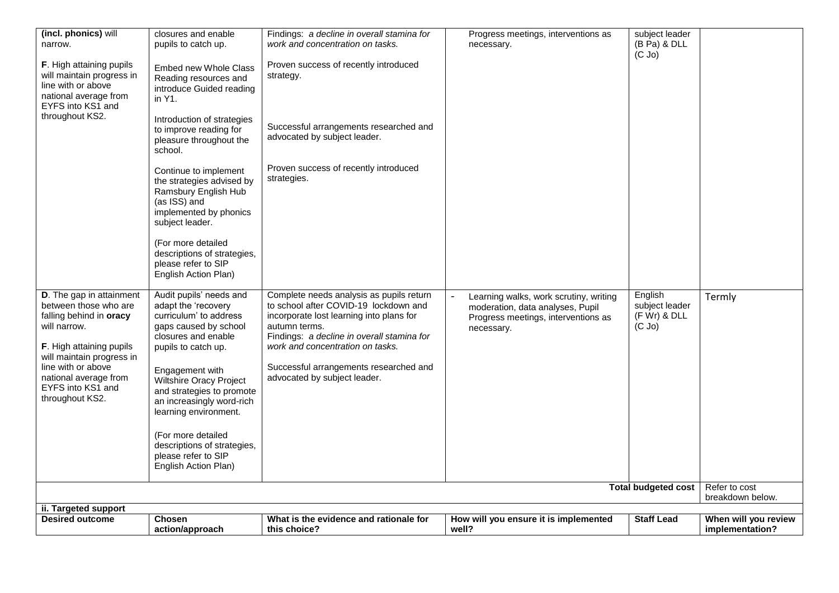| <b>Desired outcome</b>                                                                                                                                                                                                                                     | <b>Chosen</b><br>action/approach                                                                                                                                                                                                                                                 | What is the evidence and rationale for<br>this choice?                                                                                                                                                                                                                                                     | How will you ensure it is implemented<br>well?                                                                                  | <b>Staff Lead</b>                                          | When will you review<br>implementation? |
|------------------------------------------------------------------------------------------------------------------------------------------------------------------------------------------------------------------------------------------------------------|----------------------------------------------------------------------------------------------------------------------------------------------------------------------------------------------------------------------------------------------------------------------------------|------------------------------------------------------------------------------------------------------------------------------------------------------------------------------------------------------------------------------------------------------------------------------------------------------------|---------------------------------------------------------------------------------------------------------------------------------|------------------------------------------------------------|-----------------------------------------|
| ii. Targeted support                                                                                                                                                                                                                                       |                                                                                                                                                                                                                                                                                  |                                                                                                                                                                                                                                                                                                            |                                                                                                                                 |                                                            |                                         |
|                                                                                                                                                                                                                                                            |                                                                                                                                                                                                                                                                                  |                                                                                                                                                                                                                                                                                                            |                                                                                                                                 | <b>Total budgeted cost</b>                                 | Refer to cost<br>breakdown below.       |
|                                                                                                                                                                                                                                                            | (For more detailed<br>descriptions of strategies,<br>please refer to SIP<br>English Action Plan)                                                                                                                                                                                 |                                                                                                                                                                                                                                                                                                            |                                                                                                                                 |                                                            |                                         |
| D. The gap in attainment<br>between those who are<br>falling behind in <b>oracy</b><br>will narrow.<br><b>F.</b> High attaining pupils<br>will maintain progress in<br>line with or above<br>national average from<br>EYFS into KS1 and<br>throughout KS2. | Audit pupils' needs and<br>adapt the 'recovery<br>curriculum' to address<br>gaps caused by school<br>closures and enable<br>pupils to catch up.<br>Engagement with<br>Wiltshire Oracy Project<br>and strategies to promote<br>an increasingly word-rich<br>learning environment. | Complete needs analysis as pupils return<br>to school after COVID-19 lockdown and<br>incorporate lost learning into plans for<br>autumn terms.<br>Findings: a decline in overall stamina for<br>work and concentration on tasks.<br>Successful arrangements researched and<br>advocated by subject leader. | Learning walks, work scrutiny, writing<br>moderation, data analyses, Pupil<br>Progress meetings, interventions as<br>necessary. | English<br>subject leader<br>$(F Wr)$ & DLL<br>$(C$ Jo $)$ | Termly                                  |
|                                                                                                                                                                                                                                                            | (For more detailed<br>descriptions of strategies,<br>please refer to SIP<br>English Action Plan)                                                                                                                                                                                 |                                                                                                                                                                                                                                                                                                            |                                                                                                                                 |                                                            |                                         |
|                                                                                                                                                                                                                                                            | Continue to implement<br>the strategies advised by<br>Ramsbury English Hub<br>(as ISS) and<br>implemented by phonics<br>subject leader.                                                                                                                                          | Proven success of recently introduced<br>strategies.                                                                                                                                                                                                                                                       |                                                                                                                                 |                                                            |                                         |
| throughout KS2.                                                                                                                                                                                                                                            | Introduction of strategies<br>to improve reading for<br>pleasure throughout the<br>school.                                                                                                                                                                                       | Successful arrangements researched and<br>advocated by subject leader.                                                                                                                                                                                                                                     |                                                                                                                                 |                                                            |                                         |
| F. High attaining pupils<br>will maintain progress in<br>line with or above<br>national average from<br>EYFS into KS1 and                                                                                                                                  | Embed new Whole Class<br>Reading resources and<br>introduce Guided reading<br>in Y1.                                                                                                                                                                                             | Proven success of recently introduced<br>strategy.                                                                                                                                                                                                                                                         |                                                                                                                                 |                                                            |                                         |
| (incl. phonics) will<br>narrow.                                                                                                                                                                                                                            | closures and enable<br>pupils to catch up.                                                                                                                                                                                                                                       | Findings: a decline in overall stamina for<br>work and concentration on tasks.                                                                                                                                                                                                                             | Progress meetings, interventions as<br>necessary.                                                                               | subject leader<br>(B Pa) & DLL<br>$(C$ Jo $)$              |                                         |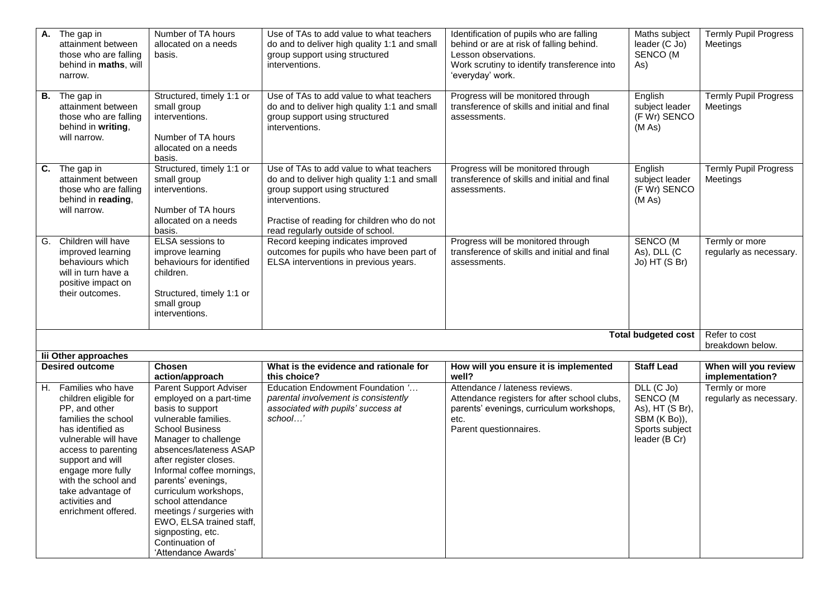| $\overline{A}$ . The gap in<br>attainment between<br>those who are falling<br>behind in maths, will<br>narrow.                                                                                                                                                                          | Number of TA hours<br>allocated on a needs<br>basis.                                                                                                                                                                                                                                                                                                                                                                         | Use of TAs to add value to what teachers<br>do and to deliver high quality 1:1 and small<br>group support using structured<br>interventions.                                                                                     | Identification of pupils who are falling<br>behind or are at risk of falling behind.<br>Lesson observations.<br>Work scrutiny to identify transference into<br>'everyday' work. | Maths subject<br>leader (C Jo)<br>SENCO (M<br>As)                                              | <b>Termly Pupil Progress</b><br>Meetings  |
|-----------------------------------------------------------------------------------------------------------------------------------------------------------------------------------------------------------------------------------------------------------------------------------------|------------------------------------------------------------------------------------------------------------------------------------------------------------------------------------------------------------------------------------------------------------------------------------------------------------------------------------------------------------------------------------------------------------------------------|----------------------------------------------------------------------------------------------------------------------------------------------------------------------------------------------------------------------------------|---------------------------------------------------------------------------------------------------------------------------------------------------------------------------------|------------------------------------------------------------------------------------------------|-------------------------------------------|
| <b>B.</b> The gap in<br>attainment between<br>those who are falling<br>behind in writing,<br>will narrow.                                                                                                                                                                               | Structured, timely 1:1 or<br>small group<br>interventions.<br>Number of TA hours<br>allocated on a needs<br>basis.                                                                                                                                                                                                                                                                                                           | Use of TAs to add value to what teachers<br>do and to deliver high quality 1:1 and small<br>group support using structured<br>interventions.                                                                                     | Progress will be monitored through<br>transference of skills and initial and final<br>assessments.                                                                              | English<br>subject leader<br>(F Wr) SENCO<br>(M As)                                            | <b>Termly Pupil Progress</b><br>Meetings  |
| C. The gap in<br>attainment between<br>those who are falling<br>behind in reading,<br>will narrow.                                                                                                                                                                                      | Structured, timely 1:1 or<br>small group<br>interventions.<br>Number of TA hours<br>allocated on a needs<br>basis.                                                                                                                                                                                                                                                                                                           | Use of TAs to add value to what teachers<br>do and to deliver high quality 1:1 and small<br>group support using structured<br>interventions.<br>Practise of reading for children who do not<br>read regularly outside of school. | Progress will be monitored through<br>transference of skills and initial and final<br>assessments.                                                                              | English<br>subject leader<br>(F Wr) SENCO<br>(M As)                                            | <b>Termly Pupil Progress</b><br>Meetings  |
| G. Children will have<br>improved learning<br>behaviours which<br>will in turn have a<br>positive impact on<br>their outcomes.                                                                                                                                                          | ELSA sessions to<br>improve learning<br>behaviours for identified<br>children.<br>Structured, timely 1:1 or<br>small group<br>interventions.                                                                                                                                                                                                                                                                                 | Record keeping indicates improved<br>outcomes for pupils who have been part of<br>ELSA interventions in previous years.                                                                                                          | Progress will be monitored through<br>transference of skills and initial and final<br>assessments.                                                                              | SENCO (M<br>As), DLL (C<br>Jo) HT (S Br)                                                       | Termly or more<br>regularly as necessary. |
|                                                                                                                                                                                                                                                                                         |                                                                                                                                                                                                                                                                                                                                                                                                                              |                                                                                                                                                                                                                                  |                                                                                                                                                                                 | <b>Total budgeted cost</b>                                                                     | Refer to cost<br>breakdown below.         |
| lii Other approaches                                                                                                                                                                                                                                                                    |                                                                                                                                                                                                                                                                                                                                                                                                                              |                                                                                                                                                                                                                                  |                                                                                                                                                                                 |                                                                                                |                                           |
| <b>Desired outcome</b>                                                                                                                                                                                                                                                                  | <b>Chosen</b><br>action/approach                                                                                                                                                                                                                                                                                                                                                                                             | What is the evidence and rationale for<br>this choice?                                                                                                                                                                           | How will you ensure it is implemented<br>well?                                                                                                                                  | <b>Staff Lead</b>                                                                              | When will you review<br>implementation?   |
| H. Families who have<br>children eligible for<br>PP, and other<br>families the school<br>has identified as<br>vulnerable will have<br>access to parenting<br>support and will<br>engage more fully<br>with the school and<br>take advantage of<br>activities and<br>enrichment offered. | Parent Support Adviser<br>employed on a part-time<br>basis to support<br>vulnerable families.<br><b>School Business</b><br>Manager to challenge<br>absences/lateness ASAP<br>after register closes.<br>Informal coffee mornings,<br>parents' evenings,<br>curriculum workshops,<br>school attendance<br>meetings / surgeries with<br>EWO, ELSA trained staff,<br>signposting, etc.<br>Continuation of<br>'Attendance Awards' | Education Endowment Foundation '<br>parental involvement is consistently<br>associated with pupils' success at<br>school'                                                                                                        | Attendance / lateness reviews.<br>Attendance registers for after school clubs,<br>parents' evenings, curriculum workshops,<br>etc.<br>Parent questionnaires.                    | $DLL$ (C Jo)<br>SENCO (M<br>As), HT (S Br),<br>SBM (K Bo)),<br>Sports subject<br>leader (B Cr) | Termly or more<br>regularly as necessary. |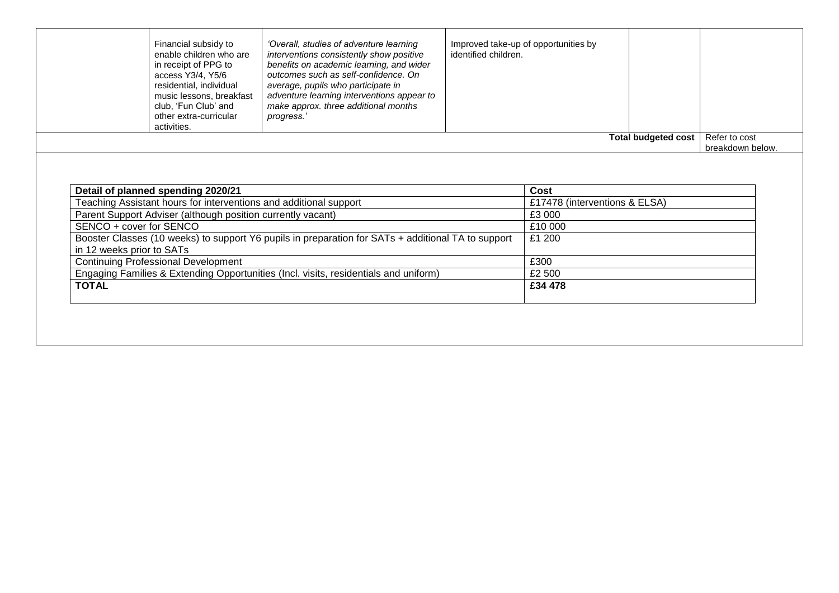|                                                                                                                                                            |  |                               | <b>Total budgeted cost</b> | Refer to cost<br>breakdown below. |
|------------------------------------------------------------------------------------------------------------------------------------------------------------|--|-------------------------------|----------------------------|-----------------------------------|
|                                                                                                                                                            |  |                               |                            |                                   |
| Detail of planned spending 2020/21                                                                                                                         |  | Cost                          |                            |                                   |
| Teaching Assistant hours for interventions and additional support                                                                                          |  | £17478 (interventions & ELSA) |                            |                                   |
| Parent Support Adviser (although position currently vacant)                                                                                                |  | £3 000                        |                            |                                   |
|                                                                                                                                                            |  | £10 000                       |                            |                                   |
| SENCO + cover for SENCO<br>Booster Classes (10 weeks) to support Y6 pupils in preparation for SATs + additional TA to support<br>in 12 weeks prior to SATs |  |                               |                            |                                   |
| <b>Continuing Professional Development</b>                                                                                                                 |  | £300                          |                            |                                   |
| Engaging Families & Extending Opportunities (Incl. visits, residentials and uniform)                                                                       |  | £2 500                        |                            |                                   |
|                                                                                                                                                            |  | £34 478                       |                            |                                   |
|                                                                                                                                                            |  |                               | £1 200                     |                                   |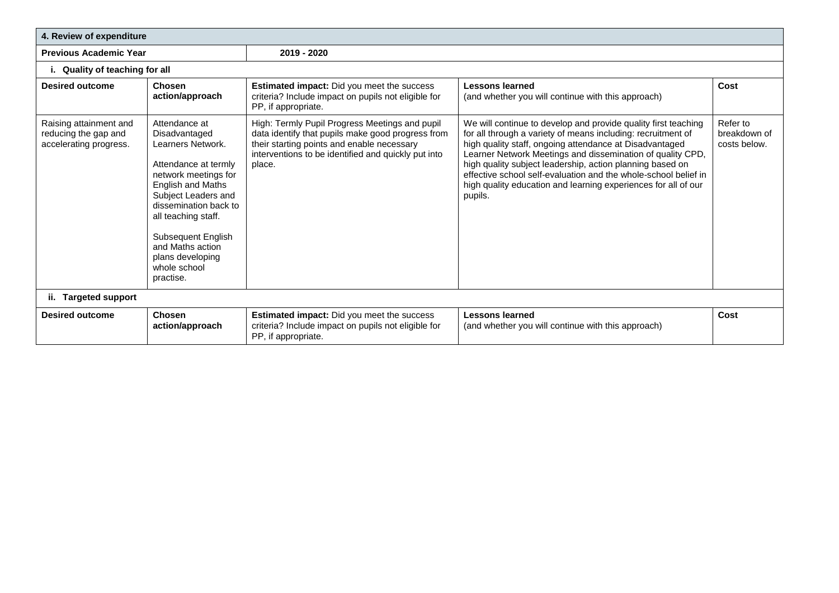|                                                                          | 4. Review of expenditure                                                                                                                                                                                                                                                                   |                                                                                                                                                                                                                    |                                                                                                                                                                                                                                                                                                                                                                                                                                                                      |                                          |  |  |
|--------------------------------------------------------------------------|--------------------------------------------------------------------------------------------------------------------------------------------------------------------------------------------------------------------------------------------------------------------------------------------|--------------------------------------------------------------------------------------------------------------------------------------------------------------------------------------------------------------------|----------------------------------------------------------------------------------------------------------------------------------------------------------------------------------------------------------------------------------------------------------------------------------------------------------------------------------------------------------------------------------------------------------------------------------------------------------------------|------------------------------------------|--|--|
| <b>Previous Academic Year</b>                                            |                                                                                                                                                                                                                                                                                            | 2019 - 2020                                                                                                                                                                                                        |                                                                                                                                                                                                                                                                                                                                                                                                                                                                      |                                          |  |  |
| Quality of teaching for all                                              |                                                                                                                                                                                                                                                                                            |                                                                                                                                                                                                                    |                                                                                                                                                                                                                                                                                                                                                                                                                                                                      |                                          |  |  |
| <b>Desired outcome</b>                                                   | Chosen<br>action/approach                                                                                                                                                                                                                                                                  | Estimated impact: Did you meet the success<br>criteria? Include impact on pupils not eligible for<br>PP, if appropriate.                                                                                           | <b>Lessons learned</b><br>(and whether you will continue with this approach)                                                                                                                                                                                                                                                                                                                                                                                         | Cost                                     |  |  |
| Raising attainment and<br>reducing the gap and<br>accelerating progress. | Attendance at<br>Disadvantaged<br>Learners Network.<br>Attendance at termly<br>network meetings for<br>English and Maths<br>Subject Leaders and<br>dissemination back to<br>all teaching staff.<br>Subsequent English<br>and Maths action<br>plans developing<br>whole school<br>practise. | High: Termly Pupil Progress Meetings and pupil<br>data identify that pupils make good progress from<br>their starting points and enable necessary<br>interventions to be identified and quickly put into<br>place. | We will continue to develop and provide quality first teaching<br>for all through a variety of means including: recruitment of<br>high quality staff, ongoing attendance at Disadvantaged<br>Learner Network Meetings and dissemination of quality CPD,<br>high quality subject leadership, action planning based on<br>effective school self-evaluation and the whole-school belief in<br>high quality education and learning experiences for all of our<br>pupils. | Refer to<br>breakdown of<br>costs below. |  |  |
| ii. Targeted support                                                     |                                                                                                                                                                                                                                                                                            |                                                                                                                                                                                                                    |                                                                                                                                                                                                                                                                                                                                                                                                                                                                      |                                          |  |  |
| <b>Desired outcome</b>                                                   | <b>Chosen</b><br>action/approach                                                                                                                                                                                                                                                           | <b>Estimated impact:</b> Did you meet the success<br>criteria? Include impact on pupils not eligible for<br>PP, if appropriate.                                                                                    | <b>Lessons learned</b><br>(and whether you will continue with this approach)                                                                                                                                                                                                                                                                                                                                                                                         | Cost                                     |  |  |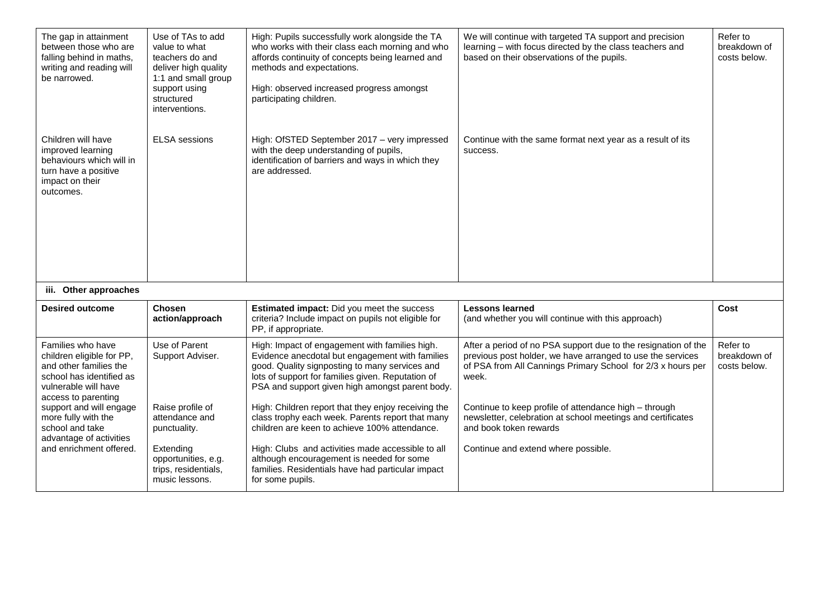| The gap in attainment<br>between those who are<br>falling behind in maths,<br>writing and reading will<br>be narrowed.                              | Use of TAs to add<br>value to what<br>teachers do and<br>deliver high quality<br>1:1 and small group<br>support using<br>structured<br>interventions. | High: Pupils successfully work alongside the TA<br>who works with their class each morning and who<br>affords continuity of concepts being learned and<br>methods and expectations.<br>High: observed increased progress amongst<br>participating children. | We will continue with targeted TA support and precision<br>learning - with focus directed by the class teachers and<br>based on their observations of the pupils.                                    | Refer to<br>breakdown of<br>costs below. |
|-----------------------------------------------------------------------------------------------------------------------------------------------------|-------------------------------------------------------------------------------------------------------------------------------------------------------|-------------------------------------------------------------------------------------------------------------------------------------------------------------------------------------------------------------------------------------------------------------|------------------------------------------------------------------------------------------------------------------------------------------------------------------------------------------------------|------------------------------------------|
| Children will have<br>improved learning<br>behaviours which will in<br>turn have a positive<br>impact on their<br>outcomes.                         | <b>ELSA</b> sessions                                                                                                                                  | High: OfSTED September 2017 - very impressed<br>with the deep understanding of pupils,<br>identification of barriers and ways in which they<br>are addressed.                                                                                               | Continue with the same format next year as a result of its<br>success.                                                                                                                               |                                          |
| iii. Other approaches                                                                                                                               |                                                                                                                                                       |                                                                                                                                                                                                                                                             |                                                                                                                                                                                                      |                                          |
| <b>Desired outcome</b>                                                                                                                              | <b>Chosen</b><br>action/approach                                                                                                                      | <b>Estimated impact:</b> Did you meet the success<br>criteria? Include impact on pupils not eligible for<br>PP, if appropriate.                                                                                                                             | <b>Lessons learned</b><br>(and whether you will continue with this approach)                                                                                                                         | Cost                                     |
| Families who have<br>children eligible for PP,<br>and other families the<br>school has identified as<br>vulnerable will have<br>access to parenting | Use of Parent<br>Support Adviser.                                                                                                                     | High: Impact of engagement with families high.<br>Evidence anecdotal but engagement with families<br>good. Quality signposting to many services and<br>lots of support for families given. Reputation of<br>PSA and support given high amongst parent body. | After a period of no PSA support due to the resignation of the<br>previous post holder, we have arranged to use the services<br>of PSA from All Cannings Primary School for 2/3 x hours per<br>week. | Refer to<br>breakdown of<br>costs below. |
| support and will engage<br>more fully with the<br>school and take                                                                                   | Raise profile of<br>attendance and<br>punctuality.                                                                                                    | High: Children report that they enjoy receiving the<br>class trophy each week. Parents report that many<br>children are keen to achieve 100% attendance.                                                                                                    | Continue to keep profile of attendance high - through<br>newsletter, celebration at school meetings and certificates<br>and book token rewards                                                       |                                          |
| advantage of activities<br>and enrichment offered.                                                                                                  | Extending<br>opportunities, e.g.<br>trips, residentials,<br>music lessons.                                                                            | High: Clubs and activities made accessible to all<br>although encouragement is needed for some<br>families. Residentials have had particular impact<br>for some pupils.                                                                                     | Continue and extend where possible.                                                                                                                                                                  |                                          |